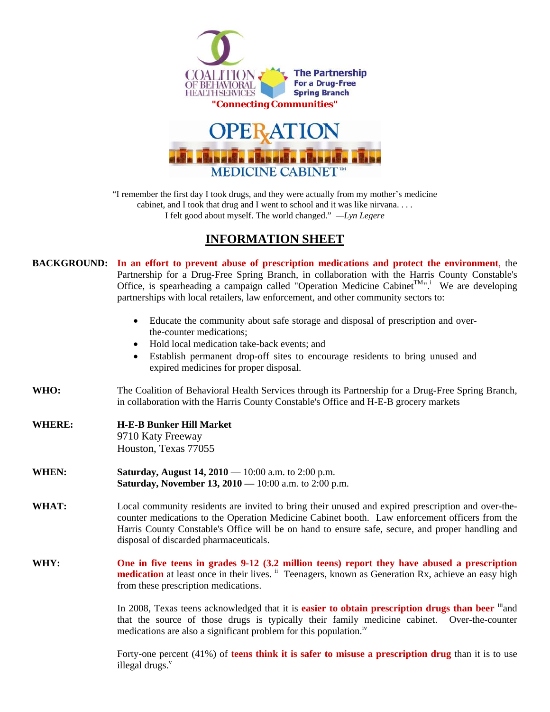



"I remember the first day I took drugs, and they were actually from my mother's medicine cabinet, and I took that drug and I went to school and it was like nirvana. . . . I felt good about myself. The world changed." *—Lyn Legere* 

## **INFORMATION SHEET**

**BACKGROUND: In an effort to prevent abuse of prescription medications and protect the environment**, the Partnership for a Drug-Free Spring Branch, in collaboration with the Harris County Constable's Office, is spearheading a campaign called "Operation Medicine Cabinet<sup>TM</sup>". We are developing partnerships with local retailers, law enforcement, and other community sectors to: • Educate the community about safe storage and disposal of prescription and overthe-counter medications; • Hold local medication take-back events: and • Establish permanent drop-off sites to encourage residents to bring unused and expired medicines for proper disposal. **WHO:** The Coalition of Behavioral Health Services through its Partnership for a Drug-Free Spring Branch, in collaboration with the Harris County Constable's Office and H-E-B grocery markets **WHERE: H-E-B Bunker Hill Market** 9710 Katy Freeway Houston, Texas 77055 **WHEN: Saturday, August 14, 2010** — 10:00 a.m. to 2:00 p.m. **Saturday, November 13, 2010** — 10:00 a.m. to 2:00 p.m. **WHAT:** Local community residents are invited to bring their unused and expired prescription and over-thecounter medications to the Operation Medicine Cabinet booth. Law enforcement officers from the Harris County Constable's Office will be on hand to ensure safe, secure, and proper handling and disposal of discarded pharmaceuticals. **WHY: One in five teens in grades 9-12 (3.2 million teens) report they have abused a prescription medication** at least once in their lives. <sup>ii</sup> Teenagers, known as Generation Rx, achieve an easy high from these prescription medications. In 2008, Texas teens acknowledged that it is **easier to obtain prescription drugs than beer** <sup>iii</sup> and that the source of those drugs is typically their family medicine cabinet. Over-the-counter

medications are also a significant problem for this population.<sup>iv</sup>

Forty-one percent (41%) of **teens think it is safer to misuse a prescription drug** than it is to use illegal drugs. $v$